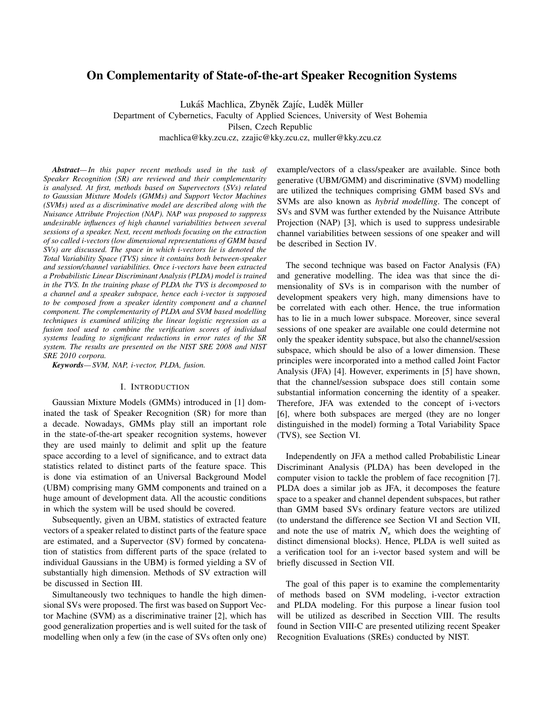# On Complementarity of State-of-the-art Speaker Recognition Systems

Lukáš Machlica, Zbyněk Zajíc, Luděk Müller

Department of Cybernetics, Faculty of Applied Sciences, University of West Bohemia

Pilsen, Czech Republic

machlica@kky.zcu.cz, zzajic@kky.zcu.cz, muller@kky.zcu.cz

*Abstract— In this paper recent methods used in the task of Speaker Recognition (SR) are reviewed and their complementarity is analysed. At first, methods based on Supervectors (SVs) related to Gaussian Mixture Models (GMMs) and Support Vector Machines (SVMs) used as a discriminative model are described along with the Nuisance Attribute Projection (NAP). NAP was proposed to suppress undesirable influences of high channel variabilities between several sessions of a speaker. Next, recent methods focusing on the extraction of so called i-vectors (low dimensional representations of GMM based SVs) are discussed. The space in which i-vectors lie is denoted the Total Variability Space (TVS) since it contains both between-speaker and session/channel variabilities. Once i-vectors have been extracted a Probabilistic Linear Discriminant Analysis (PLDA) model is trained in the TVS. In the training phase of PLDA the TVS is decomposed to a channel and a speaker subspace, hence each i-vector is supposed to be composed from a speaker identity component and a channel component. The complementarity of PLDA and SVM based modelling techniques is examined utilizing the linear logistic regression as a fusion tool used to combine the verification scores of individual systems leading to significant reductions in error rates of the SR system. The results are presented on the NIST SRE 2008 and NIST SRE 2010 corpora.*

*Keywords— SVM, NAP, i-vector, PLDA, fusion.*

### I. INTRODUCTION

Gaussian Mixture Models (GMMs) introduced in [1] dominated the task of Speaker Recognition (SR) for more than a decade. Nowadays, GMMs play still an important role in the state-of-the-art speaker recognition systems, however they are used mainly to delimit and split up the feature space according to a level of significance, and to extract data statistics related to distinct parts of the feature space. This is done via estimation of an Universal Background Model (UBM) comprising many GMM components and trained on a huge amount of development data. All the acoustic conditions in which the system will be used should be covered.

Subsequently, given an UBM, statistics of extracted feature vectors of a speaker related to distinct parts of the feature space are estimated, and a Supervector (SV) formed by concatenation of statistics from different parts of the space (related to individual Gaussians in the UBM) is formed yielding a SV of substantially high dimension. Methods of SV extraction will be discussed in Section III.

Simultaneously two techniques to handle the high dimensional SVs were proposed. The first was based on Support Vector Machine (SVM) as a discriminative trainer [2], which has good generalization properties and is well suited for the task of modelling when only a few (in the case of SVs often only one) example/vectors of a class/speaker are available. Since both generative (UBM/GMM) and discriminative (SVM) modelling are utilized the techniques comprising GMM based SVs and SVMs are also known as *hybrid modelling*. The concept of SVs and SVM was further extended by the Nuisance Attribute Projection (NAP) [3], which is used to suppress undesirable channel variabilities between sessions of one speaker and will be described in Section IV.

The second technique was based on Factor Analysis (FA) and generative modelling. The idea was that since the dimensionality of SVs is in comparison with the number of development speakers very high, many dimensions have to be correlated with each other. Hence, the true information has to lie in a much lower subspace. Moreover, since several sessions of one speaker are available one could determine not only the speaker identity subspace, but also the channel/session subspace, which should be also of a lower dimension. These principles were incorporated into a method called Joint Factor Analysis (JFA) [4]. However, experiments in [5] have shown, that the channel/session subspace does still contain some substantial information concerning the identity of a speaker. Therefore, JFA was extended to the concept of i-vectors [6], where both subspaces are merged (they are no longer distinguished in the model) forming a Total Variability Space (TVS), see Section VI.

Independently on JFA a method called Probabilistic Linear Discriminant Analysis (PLDA) has been developed in the computer vision to tackle the problem of face recognition [7]. PLDA does a similar job as JFA, it decomposes the feature space to a speaker and channel dependent subspaces, but rather than GMM based SVs ordinary feature vectors are utilized (to understand the difference see Section VI and Section VII, and note the use of matrix  $N<sub>s</sub>$  which does the weighting of distinct dimensional blocks). Hence, PLDA is well suited as a verification tool for an i-vector based system and will be briefly discussed in Section VII.

The goal of this paper is to examine the complementarity of methods based on SVM modeling, i-vector extraction and PLDA modeling. For this purpose a linear fusion tool will be utilized as described in Secction VIII. The results found in Section VIII-C are presented utilizing recent Speaker Recognition Evaluations (SREs) conducted by NIST.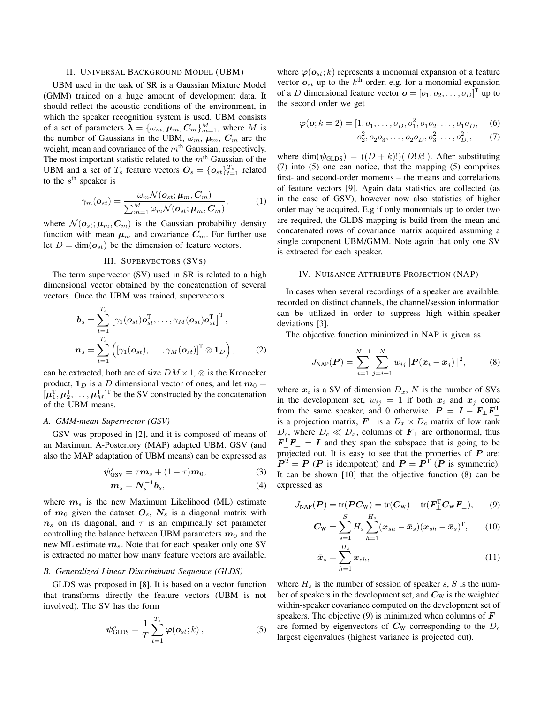# II. UNIVERSAL BACKGROUND MODEL (UBM)

UBM used in the task of SR is a Gaussian Mixture Model (GMM) trained on a huge amount of development data. It should reflect the acoustic conditions of the environment, in which the speaker recognition system is used. UBM consists of a set of parameters  $\boldsymbol{\lambda} = \{\omega_m, \boldsymbol{\mu}_m, \boldsymbol{C}_m\}_{m=1}^M$ , where M is the number of Gaussians in the UBM,  $\omega_m$ ,  $\mu_m$ ,  $C_m$  are the weight, mean and covariance of the  $m<sup>th</sup>$  Gaussian, respectively. The most important statistic related to the  $m<sup>th</sup>$  Gaussian of the UBM and a set of  $T_s$  feature vectors  $\boldsymbol{O}_s = {\{\boldsymbol{o}_{st}\}}_{t=1}^{T_s}$  related to the  $s^{\text{th}}$  speaker is

$$
\gamma_m(\boldsymbol{o}_{st}) = \frac{\omega_m \mathcal{N}(\boldsymbol{o}_{st}; \boldsymbol{\mu}_m, \boldsymbol{C}_m)}{\sum_{m=1}^M \omega_m \mathcal{N}(\boldsymbol{o}_{st}; \boldsymbol{\mu}_m, \boldsymbol{C}_m)},
$$
(1)

where  $\mathcal{N}(\boldsymbol{o}_{st}; \boldsymbol{\mu}_m, \boldsymbol{C}_m)$  is the Gaussian probability density function with mean  $\mu_m$  and covariance  $C_m$ . For further use let  $D = \dim(\mathbf{o}_{st})$  be the dimension of feature vectors.

### III. SUPERVECTORS (SVS)

The term supervector (SV) used in SR is related to a high dimensional vector obtained by the concatenation of several vectors. Once the UBM was trained, supervectors

$$
\boldsymbol{b}_s = \sum_{t=1}^{T_s} \left[ \gamma_1(\boldsymbol{o}_{st}) \boldsymbol{o}_{st}^{\mathrm{T}}, \dots, \gamma_M(\boldsymbol{o}_{st}) \boldsymbol{o}_{st}^{\mathrm{T}} \right]^{\mathrm{T}},
$$

$$
\boldsymbol{n}_s = \sum_{t=1}^{T_s} \left( \left[ \gamma_1(\boldsymbol{o}_{st}), \dots, \gamma_M(\boldsymbol{o}_{st}) \right]^{\mathrm{T}} \otimes \mathbf{1}_D \right),
$$
(2)

can be extracted, both are of size  $DM \times 1$ ,  $\otimes$  is the Kronecker product,  $\mathbf{1}_D$  is a D dimensional vector of ones, and let  $m_0 =$  $[\mu_1^{\mathrm{T}}, \mu_2^{\mathrm{T}}, \dots, \mu_M^{\mathrm{T}}]^{\mathrm{T}}$  be the SV constructed by the concatenation of the UBM means.

### *A. GMM-mean Supervector (GSV)*

GSV was proposed in [2], and it is composed of means of an Maximum A-Posteriory (MAP) adapted UBM. GSV (and also the MAP adaptation of UBM means) can be expressed as

$$
\psi_{\rm GSV}^s = \tau \mathbf{m}_s + (1 - \tau) \mathbf{m}_0, \tag{3}
$$

$$
m_s = N_s^{-1}b_s, \t\t(4)
$$

where  $m<sub>s</sub>$  is the new Maximum Likelihood (ML) estimate of  $m_0$  given the dataset  $O_s$ ,  $N_s$  is a diagonal matrix with  $n<sub>s</sub>$  on its diagonal, and  $\tau$  is an empirically set parameter controlling the balance between UBM parameters  $m_0$  and the new ML estimate  $m<sub>s</sub>$ . Note that for each speaker only one SV is extracted no matter how many feature vectors are available.

# *B. Generalized Linear Discriminant Sequence (GLDS)*

GLDS was proposed in [8]. It is based on a vector function that transforms directly the feature vectors (UBM is not involved). The SV has the form

$$
\psi_{\text{GLDS}}^s = \frac{1}{T} \sum_{t=1}^{T_s} \varphi(\mathbf{o}_{st}; k) , \qquad (5)
$$

where  $\varphi$ ( $o_{st}$ ; k) represents a monomial expansion of a feature vector  $o_{st}$  up to the  $k^{\text{th}}$  order, e.g. for a monomial expansion of a D dimensional feature vector  $\mathbf{o} = [o_1, o_2, \dots, o_D]^\text{T}$  up to the second order we get

$$
\varphi(\mathbf{o}; k=2) = [1, o_1, \dots, o_D, o_1^2, o_1 o_2, \dots, o_1 o_D, \quad (6)
$$

$$
o_2^2, o_2 o_3, \dots, o_2 o_D, o_3^2, \dots, o_D^2], \quad (7)
$$

where dim( $\psi$ <sub>GLDS</sub>) =  $((D + k)!)(D!k!)$ . After substituting (7) into (5) one can notice, that the mapping (5) comprises first- and second-order moments – the means and correlations of feature vectors [9]. Again data statistics are collected (as in the case of GSV), however now also statistics of higher order may be acquired. E.g if only monomials up to order two are required, the GLDS mapping is build from the mean and concatenated rows of covariance matrix acquired assuming a single component UBM/GMM. Note again that only one SV is extracted for each speaker.

### IV. NUISANCE ATTRIBUTE PROJECTION (NAP)

In cases when several recordings of a speaker are available, recorded on distinct channels, the channel/session information can be utilized in order to suppress high within-speaker deviations [3].

The objective function minimized in NAP is given as

$$
J_{\text{NAP}}(\boldsymbol{P}) = \sum_{i=1}^{N-1} \sum_{j=i+1}^{N} w_{ij} ||\boldsymbol{P}(\boldsymbol{x}_i - \boldsymbol{x}_j)||^2, \qquad (8)
$$

where  $x_i$  is a SV of dimension  $D_x$ , N is the number of SVs in the development set,  $w_{ij} = 1$  if both  $x_i$  and  $x_j$  come from the same speaker, and 0 otherwise.  $P = I - F_{\perp} F_{\perp}^{T}$ is a projection matrix,  $\mathbf{F}_{\perp}$  is a  $D_x \times D_c$  matrix of low rank  $D_c$ , where  $D_c \ll D_x$ , columns of  $\mathbf{F}_{\perp}$  are orthonormal, thus  $F_{\perp}^{\mathrm{T}}F_{\perp} = I$  and they span the subspace that is going to be projected out. It is easy to see that the properties of  $P$  are:  $P^2 = P$  (P is idempotent) and  $P = P^T$  (P is symmetric). It can be shown [10] that the objective function (8) can be expressed as

$$
J_{\text{NAP}}(\boldsymbol{P}) = \text{tr}(\boldsymbol{P}\boldsymbol{C}_{\text{W}}) = \text{tr}(\boldsymbol{C}_{\text{W}}) - \text{tr}(\boldsymbol{F}_{\perp}^{\text{T}}\boldsymbol{C}_{\text{W}}\boldsymbol{F}_{\perp}),\qquad(9)
$$

$$
C_{\rm W} = \sum_{s=1}^{S} H_s \sum_{h=1}^{H_s} (\boldsymbol{x}_{sh} - \bar{\boldsymbol{x}}_s)(\boldsymbol{x}_{sh} - \bar{\boldsymbol{x}}_s)^{\rm T}, \qquad (10)
$$

$$
\bar{\boldsymbol{x}}_s = \sum_{h=1}^{H_s} \boldsymbol{x}_{sh},\tag{11}
$$

where  $H_s$  is the number of session of speaker s, S is the number of speakers in the development set, and  $C_W$  is the weighted within-speaker covariance computed on the development set of speakers. The objective (9) is minimized when columns of  $\mathbf{F}_{\perp}$ are formed by eigenvectors of  $C_{\rm W}$  corresponding to the  $D_c$ largest eigenvalues (highest variance is projected out).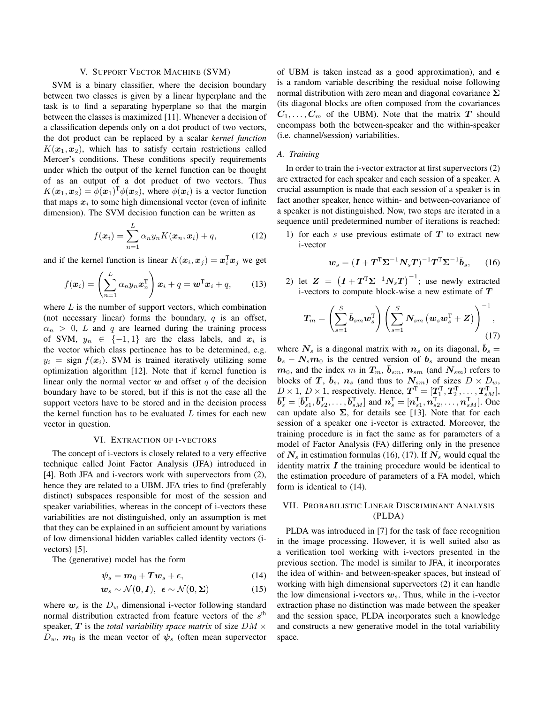# V. SUPPORT VECTOR MACHINE (SVM)

SVM is a binary classifier, where the decision boundary between two classes is given by a linear hyperplane and the task is to find a separating hyperplane so that the margin between the classes is maximized [11]. Whenever a decision of a classification depends only on a dot product of two vectors, the dot product can be replaced by a scalar *kernel function*  $K(\mathbf{x}_1, \mathbf{x}_2)$ , which has to satisfy certain restrictions called Mercer's conditions. These conditions specify requirements under which the output of the kernel function can be thought of as an output of a dot product of two vectors. Thus  $K(\boldsymbol{x}_1, \boldsymbol{x}_2) = \phi(\boldsymbol{x}_1)^T \phi(\boldsymbol{x}_2)$ , where  $\phi(\boldsymbol{x}_i)$  is a vector function that maps  $x_i$  to some high dimensional vector (even of infinite dimension). The SVM decision function can be written as

$$
f(\boldsymbol{x}_i) = \sum_{n=1}^{L} \alpha_n y_n K(\boldsymbol{x}_n, \boldsymbol{x}_i) + q,\tag{12}
$$

and if the kernel function is linear  $K(\boldsymbol{x}_i, \boldsymbol{x}_j) = \boldsymbol{x}_i^{\mathrm{T}} \boldsymbol{x}_j$  we get

$$
f(\boldsymbol{x}_i) = \left(\sum_{n=1}^L \alpha_n y_n \boldsymbol{x}_n^{\mathrm{T}}\right) \boldsymbol{x}_i + q = \boldsymbol{w}^{\mathrm{T}} \boldsymbol{x}_i + q,\qquad(13)
$$

where  $L$  is the number of support vectors, which combination (not necessary linear) forms the boundary,  $q$  is an offset,  $\alpha_n > 0$ , L and q are learned during the training process of SVM,  $y_n \in \{-1,1\}$  are the class labels, and  $x_i$  is the vector which class pertinence has to be determined, e.g.  $y_i = \text{sign } f(\mathbf{x}_i)$ . SVM is trained iteratively utilizing some optimization algorithm [12]. Note that if kernel function is linear only the normal vector  $w$  and offset  $q$  of the decision boundary have to be stored, but if this is not the case all the support vectors have to be stored and in the decision process the kernel function has to be evaluated  $L$  times for each new vector in question.

### VI. EXTRACTION OF I-VECTORS

The concept of i-vectors is closely related to a very effective technique called Joint Factor Analysis (JFA) introduced in [4]. Both JFA and i-vectors work with supervectors from (2), hence they are related to a UBM. JFA tries to find (preferably distinct) subspaces responsible for most of the session and speaker variabilities, whereas in the concept of i-vectors these variabilities are not distinguished, only an assumption is met that they can be explained in an sufficient amount by variations of low dimensional hidden variables called identity vectors (ivectors) [5].

The (generative) model has the form

$$
\psi_s = m_0 + Tw_s + \epsilon, \qquad (14)
$$

$$
w_s \sim \mathcal{N}(0, I), \ \epsilon \sim \mathcal{N}(0, \Sigma) \tag{15}
$$

where  $w_s$  is the  $D_w$  dimensional i-vector following standard normal distribution extracted from feature vectors of the  $s<sup>th</sup>$ speaker, T is the *total variability space matrix* of size  $DM \times$  $D_w$ ,  $m_0$  is the mean vector of  $\psi_s$  (often mean supervector of UBM is taken instead as a good approximation), and  $\epsilon$ is a random variable describing the residual noise following normal distribution with zero mean and diagonal covariance  $\Sigma$ (its diagonal blocks are often composed from the covariances  $C_1, \ldots, C_m$  of the UBM). Note that the matrix T should encompass both the between-speaker and the within-speaker (i.e. channel/session) variabilities.

### *A. Training*

In order to train the i-vector extractor at first supervectors (2) are extracted for each speaker and each session of a speaker. A crucial assumption is made that each session of a speaker is in fact another speaker, hence within- and between-covariance of a speaker is not distinguished. Now, two steps are iterated in a sequence until predetermined number of iterations is reached:

1) for each  $s$  use previous estimate of  $T$  to extract new i-vector

$$
\boldsymbol{w}_s = (\boldsymbol{I} + \boldsymbol{T}^{\mathrm{T}} \boldsymbol{\Sigma}^{-1} \boldsymbol{N}_s \boldsymbol{T})^{-1} \boldsymbol{T}^{\mathrm{T}} \boldsymbol{\Sigma}^{-1} \bar{\boldsymbol{b}}_s, \qquad (16)
$$

2) let  $\boldsymbol{Z}~=~\left(\boldsymbol{I}+\boldsymbol{T}^{\text{T}}\boldsymbol{\Sigma}^{-1}\boldsymbol{N}_s\boldsymbol{T}\right)^{-1};$  use newly extracted i-vectors to compute block-wise a new estimate of  $T$ 

$$
T_m = \left(\sum_{s=1}^{S} \bar{b}_{sm} w_s^{\mathrm{T}}\right) \left(\sum_{s=1}^{S} N_{sm} \left(w_s w_s^{\mathrm{T}} + Z\right)\right)^{-1}, \tag{17}
$$

where  $N_s$  is a diagonal matrix with  $n_s$  on its diagonal,  $b_s =$  $b_s - N_s m_0$  is the centred version of  $b_s$  around the mean  $\mathbf{m}_0$ , and the index m in  $T_m$ ,  $\bar{b}_{sm}$ ,  $\mathbf{n}_{sm}$  (and  $N_{sm}$ ) refers to blocks of T,  $\bar{b}_s$ ,  $n_s$  (and thus to  $N_{sm}$ ) of sizes  $D \times D_w$ ,  $D \times 1$ ,  $D \times 1$ , respectively. Hence,  $\mathbf{T}^{\mathrm{T}} = [\mathbf{T}_1^{\mathrm{T}}, \mathbf{T}_2^{\mathrm{T}}, \dots, \mathbf{T}_{sM}^{\mathrm{T}}]$ ,  $\bar{b}_s^{\rm T} = [\bar{b}_{s1}^{\rm T}, \bar{b}_{s2}^{\rm T}, \ldots, \bar{b}_{sM}^{\rm T}]$  and  $n_s^{\rm T} = [n_{s1}^{\rm T}, n_{s2}^{\rm T}, \ldots, n_{sM}^{\rm T}]$ . One can update also  $\Sigma$ , for details see [13]. Note that for each session of a speaker one i-vector is extracted. Moreover, the training procedure is in fact the same as for parameters of a model of Factor Analysis (FA) differing only in the presence of  $N_s$  in estimation formulas (16), (17). If  $N_s$  would equal the identity matrix  $I$  the training procedure would be identical to the estimation procedure of parameters of a FA model, which form is identical to (14).

# VII. PROBABILISTIC LINEAR DISCRIMINANT ANALYSIS (PLDA)

PLDA was introduced in [7] for the task of face recognition in the image processing. However, it is well suited also as a verification tool working with i-vectors presented in the previous section. The model is similar to JFA, it incorporates the idea of within- and between-speaker spaces, but instead of working with high dimensional supervectors (2) it can handle the low dimensional i-vectors  $w_s$ . Thus, while in the i-vector extraction phase no distinction was made between the speaker and the session space, PLDA incorporates such a knowledge and constructs a new generative model in the total variability space.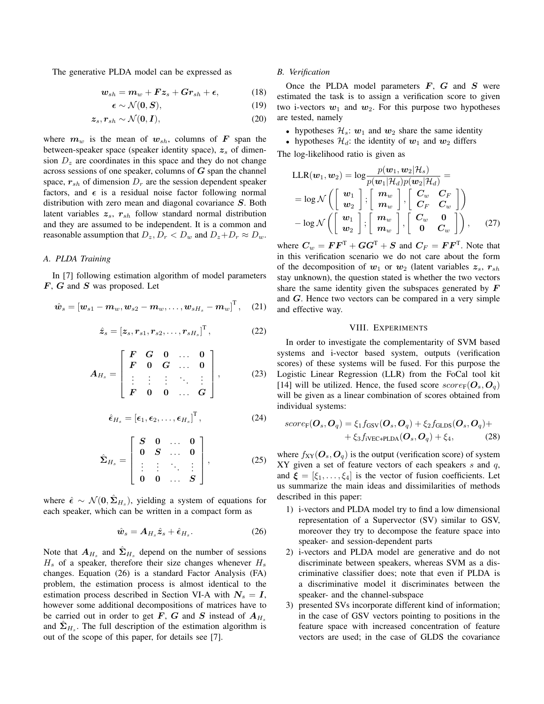The generative PLDA model can be expressed as

$$
\mathbf{w}_{sh} = \mathbf{m}_w + \boldsymbol{F} \boldsymbol{z}_s + \boldsymbol{G} \boldsymbol{r}_{sh} + \boldsymbol{\epsilon}, \tag{18}
$$

$$
\boldsymbol{\epsilon} \sim \mathcal{N}(\mathbf{0}, \mathbf{S}),\tag{19}
$$

$$
z_s, r_{sh} \sim \mathcal{N}(\mathbf{0}, \mathbf{I}), \tag{20}
$$

where  $m_w$  is the mean of  $w_{sh}$ , columns of F span the between-speaker space (speaker identity space),  $z_s$  of dimension  $D<sub>z</sub>$  are coordinates in this space and they do not change across sessions of one speaker, columns of  $G$  span the channel space,  $r_{sh}$  of dimension  $D_r$  are the session dependent speaker factors, and  $\epsilon$  is a residual noise factor following normal distribution with zero mean and diagonal covariance  $S$ . Both latent variables  $z_s$ ,  $r_{sh}$  follow standard normal distribution and they are assumed to be independent. It is a common and reasonable assumption that  $D_z, D_r < D_w$  and  $D_z + D_r \approx D_w$ .

# *A. PLDA Training*

In [7] following estimation algorithm of model parameters  $F$ ,  $G$  and  $S$  was proposed. Let

$$
\hat{\boldsymbol{w}}_s = \left[\boldsymbol{w}_{s1} - \boldsymbol{m}_w, \boldsymbol{w}_{s2} - \boldsymbol{m}_w, \ldots, \boldsymbol{w}_{sH_s} - \boldsymbol{m}_w\right]^{\mathrm{T}}, \quad (21)
$$

$$
\hat{z}_s = [z_s, r_{s1}, r_{s2}, \dots, r_{sH_s}]^{\mathrm{T}}, \tag{22}
$$

$$
A_{H_s} = \begin{bmatrix} F & G & 0 & \dots & 0 \\ F & 0 & G & \dots & 0 \\ \vdots & \vdots & \vdots & \ddots & \vdots \\ F & 0 & 0 & \dots & G \end{bmatrix}, \quad (23)
$$

$$
\hat{\epsilon}_{H_s} = [\epsilon_1, \epsilon_2, \dots, \epsilon_{H_s}]^{\mathrm{T}}, \tag{24}
$$

$$
\hat{\mathbf{\Sigma}}_{H_s} = \left[ \begin{array}{cccc} S & 0 & \dots & 0 \\ 0 & S & \dots & 0 \\ \vdots & \vdots & \ddots & \vdots \\ 0 & 0 & \dots & S \end{array} \right],\tag{25}
$$

where  $\hat{\epsilon} \sim \mathcal{N}(\mathbf{0}, \hat{\Sigma}_{H_s})$ , yielding a system of equations for each speaker, which can be written in a compact form as

$$
\hat{\boldsymbol{w}}_s = \boldsymbol{A}_{H_s} \hat{\boldsymbol{z}}_s + \hat{\boldsymbol{\epsilon}}_{H_s}.
$$
\n(26)

Note that  $A_{H_s}$  and  $\hat{\Sigma}_{H_s}$  depend on the number of sessions  $H<sub>s</sub>$  of a speaker, therefore their size changes whenever  $H<sub>s</sub>$ changes. Equation (26) is a standard Factor Analysis (FA) problem, the estimation process is almost identical to the estimation process described in Section VI-A with  $N_s = I$ , however some additional decompositions of matrices have to be carried out in order to get F, G and S instead of  $A_{H_s}$ and  $\hat{\Sigma}_{H_s}$ . The full description of the estimation algorithm is out of the scope of this paper, for details see [7].

### *B. Verification*

Once the PLDA model parameters  $F$ ,  $G$  and  $S$  were estimated the task is to assign a verification score to given two i-vectors  $w_1$  and  $w_2$ . For this purpose two hypotheses are tested, namely

- hypotheses  $\mathcal{H}_s$ :  $w_1$  and  $w_2$  share the same identity
- hypotheses  $\mathcal{H}_d$ : the identity of  $w_1$  and  $w_2$  differs

The log-likelihood ratio is given as

$$
\begin{aligned}\n\text{LLR}(w_1, w_2) &= \log \frac{p(w_1, w_2 | \mathcal{H}_s)}{p(w_1 | \mathcal{H}_d) p(w_2 | \mathcal{H}_d)} = \\
&= \log \mathcal{N}\left( \begin{bmatrix} w_1 \\ w_2 \end{bmatrix}, \begin{bmatrix} m_w \\ m_w \end{bmatrix}, \begin{bmatrix} C_w & C_F \\ C_F & C_w \end{bmatrix} \right) \\
&- \log \mathcal{N}\left( \begin{bmatrix} w_1 \\ w_2 \end{bmatrix}, \begin{bmatrix} m_w \\ m_w \end{bmatrix}, \begin{bmatrix} C_w & \mathbf{0} \\ \mathbf{0} & C_w \end{bmatrix} \right),\n\end{aligned} \tag{27}
$$

where  $C_w = \boldsymbol{F} \boldsymbol{F}^{\text{T}} + \boldsymbol{G} \boldsymbol{G}^{\text{T}} + \boldsymbol{S}$  and  $C_F = \boldsymbol{F} \boldsymbol{F}^{\text{T}}$ . Note that in this verification scenario we do not care about the form of the decomposition of  $w_1$  or  $w_2$  (latent variables  $z_s$ ,  $r_{sh}$ stay unknown), the question stated is whether the two vectors share the same identity given the subspaces generated by  $\boldsymbol{F}$ and G. Hence two vectors can be compared in a very simple and effective way.

#### VIII. EXPERIMENTS

In order to investigate the complementarity of SVM based systems and i-vector based system, outputs (verification scores) of these systems will be fused. For this purpose the Logistic Linear Regression (LLR) from the FoCal tool kit [14] will be utilized. Hence, the fused score  $score_F(O_s, O_q)$ will be given as a linear combination of scores obtained from individual systems:

$$
score_{F}(\boldsymbol{O}_{s}, \boldsymbol{O}_{q}) = \xi_{1}f_{GSV}(\boldsymbol{O}_{s}, \boldsymbol{O}_{q}) + \xi_{2}f_{GLDS}(\boldsymbol{O}_{s}, \boldsymbol{O}_{q}) + + \xi_{3}f_{iVEC+PLDA}(\boldsymbol{O}_{s}, \boldsymbol{O}_{q}) + \xi_{4},
$$
(28)

where  $f_{XY}(\boldsymbol{O}_s, \boldsymbol{O}_q)$  is the output (verification score) of system  $XY$  given a set of feature vectors of each speakers s and  $q$ , and  $\xi = [\xi_1, \ldots, \xi_4]$  is the vector of fusion coefficients. Let us summarize the main ideas and dissimilarities of methods described in this paper:

- 1) i-vectors and PLDA model try to find a low dimensional representation of a Supervector (SV) similar to GSV, moreover they try to decompose the feature space into speaker- and session-dependent parts
- 2) i-vectors and PLDA model are generative and do not discriminate between speakers, whereas SVM as a discriminative classifier does; note that even if PLDA is a discriminative model it discriminates between the speaker- and the channel-subspace
- 3) presented SVs incorporate different kind of information; in the case of GSV vectors pointing to positions in the feature space with increased concentration of feature vectors are used; in the case of GLDS the covariance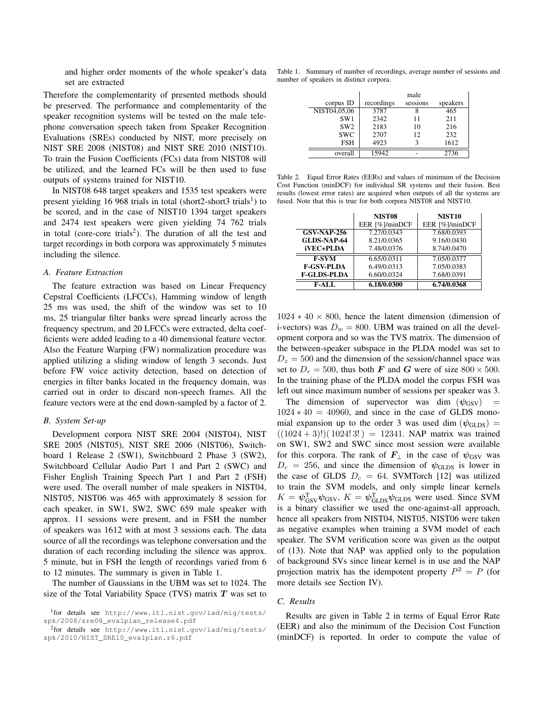and higher order moments of the whole speaker's data set are extracted

Therefore the complementarity of presented methods should be preserved. The performance and complementarity of the speaker recognition systems will be tested on the male telephone conversation speech taken from Speaker Recognition Evaluations (SREs) conducted by NIST, more precisely on NIST SRE 2008 (NIST08) and NIST SRE 2010 (NIST10). To train the Fusion Coefficients (FCs) data from NIST08 will be utilized, and the learned FCs will be then used to fuse outputs of systems trained for NIST10.

In NIST08 648 target speakers and 1535 test speakers were present yielding 16 968 trials in total (short2-short3 trials<sup>1</sup>) to be scored, and in the case of NIST10 1394 target speakers and 2474 test speakers were given yielding 74 762 trials in total (core-core trials<sup>2</sup>). The duration of all the test and target recordings in both corpora was approximately 5 minutes including the silence.

# *A. Feature Extraction*

The feature extraction was based on Linear Frequency Cepstral Coefficients (LFCCs), Hamming window of length 25 ms was used, the shift of the window was set to 10 ms, 25 triangular filter banks were spread linearly across the frequency spectrum, and 20 LFCCs were extracted, delta coefficients were added leading to a 40 dimensional feature vector. Also the Feature Warping (FW) normalization procedure was applied utilizing a sliding window of length 3 seconds. Just before FW voice activity detection, based on detection of energies in filter banks located in the frequency domain, was carried out in order to discard non-speech frames. All the feature vectors were at the end down-sampled by a factor of 2.

# *B. System Set-up*

Development corpora NIST SRE 2004 (NIST04), NIST SRE 2005 (NIST05), NIST SRE 2006 (NIST06), Switchboard 1 Release 2 (SW1), Switchboard 2 Phase 3 (SW2), Switchboard Cellular Audio Part 1 and Part 2 (SWC) and Fisher English Training Speech Part 1 and Part 2 (FSH) were used. The overall number of male speakers in NIST04, NIST05, NIST06 was 465 with approximately 8 session for each speaker, in SW1, SW2, SWC 659 male speaker with approx. 11 sessions were present, and in FSH the number of speakers was 1612 with at most 3 sessions each. The data source of all the recordings was telephone conversation and the duration of each recording including the silence was approx. 5 minute, but in FSH the length of recordings varied from 6 to 12 minutes. The summary is given in Table 1.

The number of Gaussians in the UBM was set to 1024. The size of the Total Variability Space (TVS) matrix  $T$  was set to

Table 1. Summary of number of recordings, average number of sessions and number of speakers in distinct corpora.

|                 | male       |          |          |
|-----------------|------------|----------|----------|
| corpus ID       | recordings | sessions | speakers |
| NIST04,05,06    | 3787       |          | 465      |
| SW <sub>1</sub> | 2342       | 11       | 211      |
| SW <sub>2</sub> | 2183       | 10       | 216      |
| <b>SWC</b>      | 2707       | 12       | 232      |
| <b>FSH</b>      | 4923       |          | 1612     |
| overall         | 15942      |          | 2736     |

Table 2. Equal Error Rates (EERs) and values of minimum of the Decision Cost Function (minDCF) for individual SR systems and their fusion. Best results (lowest error rates) are acquired when outputs of all the systems are fused. Note that this is true for both corpora NIST08 and NIST10.

|                    | NIST <sub>08</sub> | NIST <sub>10</sub> |
|--------------------|--------------------|--------------------|
|                    | EER [%]/minDCF     | EER [%]/minDCF     |
| $GSV-NAP-256$      | 7.27/0.0343        | 7.68/0.0393        |
| <b>GLDS-NAP-64</b> | 8.21/0.0365        | 9.16/0.0430        |
| iVEC+PLDA          | 7.48/0.0376        | 8.74/0.0470        |
| <b>F-SVM</b>       | 6.65/0.0311        | 7.05/0.0377        |
| <b>F-GSV-PLDA</b>  | 6.49/0.0313        | 7.05/0.0383        |
| <b>F-GLDS-PLDA</b> | 6.60/0.0324        | 7.68/0.0391        |
| F-ALL              | 6.18/0.0300        | 6.74/0.0368        |

 $1024 * 40 \times 800$ , hence the latent dimension (dimension of i-vectors) was  $D_w = 800$ . UBM was trained on all the development corpora and so was the TVS matrix. The dimension of the between-speaker subspace in the PLDA model was set to  $D_z = 500$  and the dimension of the session/channel space was set to  $D_r = 500$ , thus both F and G were of size  $800 \times 500$ . In the training phase of the PLDA model the corpus FSH was left out since maximum number of sessions per speaker was 3.

The dimension of supervector was dim  $(\psi_{GSV})$  =  $1024 * 40 = 40960$ , and since in the case of GLDS monomial expansion up to the order 3 was used dim  $(\psi_{\text{GLDS}})$  =  $((1024 + 3)!)(1024!3!) = 12341$ . NAP matrix was trained on SW1, SW2 and SWC since most session were available for this corpora. The rank of  $F_{\perp}$  in the case of  $\psi_{\text{GSV}}$  was  $D_c = 256$ , and since the dimension of  $\psi$ <sub>GLDS</sub> is lower in the case of GLDS  $D_c = 64$ . SVMTorch [12] was utilized to train the SVM models, and only simple linear kernels  $K = \psi_{\text{GSV}}^T \psi_{\text{GSV}}$ ,  $K = \psi_{\text{GLDS}}^T \psi_{\text{GLDS}}$  were used. Since SVM is a binary classifier we used the one-against-all approach, hence all speakers from NIST04, NIST05, NIST06 were taken as negative examples when training a SVM model of each speaker. The SVM verification score was given as the output of (13). Note that NAP was applied only to the population of background SVs since linear kernel is in use and the NAP projection matrix has the idempotent property  $P^2 = P$  (for more details see Section IV).

# *C. Results*

Results are given in Table 2 in terms of Equal Error Rate (EER) and also the minimum of the Decision Cost Function (minDCF) is reported. In order to compute the value of

<sup>1</sup> for details see http://www.itl.nist.gov/iad/mig/tests/ spk/2008/sre08\_evalplan\_release4.pdf

<sup>2</sup> for details see http://www.itl.nist.gov/iad/mig/tests/ spk/2010/NIST\_SRE10\_evalplan.r6.pdf